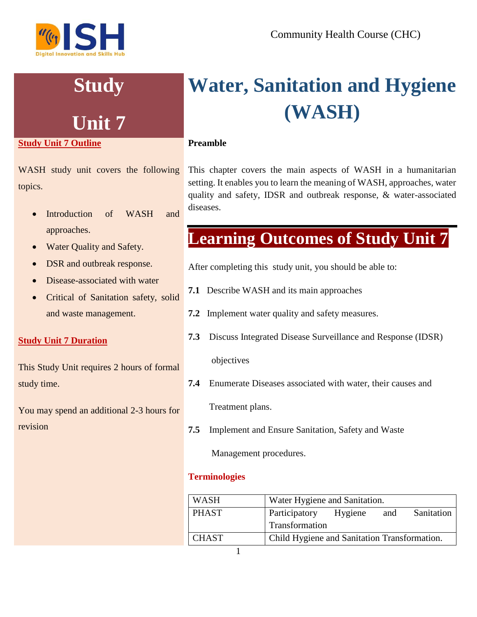# **Study**

# **Unit 7**

# **Study Unit 7 Outline**

WASH study unit covers the following topics.

- Introduction of WASH and approaches.
- Water Quality and Safety.
- DSR and outbreak response.
- Disease-associated with water
- Critical of Sanitation safety, solid and waste management.

# **Study Unit 7 Duration**

This Study Unit requires 2 hours of formal study time.

You may spend an additional 2-3 hours for revision

# **Water, Sanitation and Hygiene (WASH)**

# **Preamble**

This chapter covers the main aspects of WASH in a humanitarian setting. It enables you to learn the meaning of WASH, approaches, water quality and safety, IDSR and outbreak response, & water-associated diseases.

# **Learning Outcomes of Study Unit 7**

After completing this study unit, you should be able to:

- **7.1** Describe WASH and its main approaches
- **7.2** Implement water quality and safety measures.
- **7.3** Discuss Integrated Disease Surveillance and Response (IDSR)

objectives

**7.4** Enumerate Diseases associated with water, their causes and

Treatment plans.

**7.5** Implement and Ensure Sanitation, Safety and Waste

Management procedures.

# **Terminologies**

| <b>WASH</b>  | Water Hygiene and Sanitation.                |  |     |            |
|--------------|----------------------------------------------|--|-----|------------|
| <b>PHAST</b> | Participatory Hygiene                        |  | and | Sanitation |
|              | Transformation                               |  |     |            |
| <b>CHAST</b> | Child Hygiene and Sanitation Transformation. |  |     |            |
|              |                                              |  |     |            |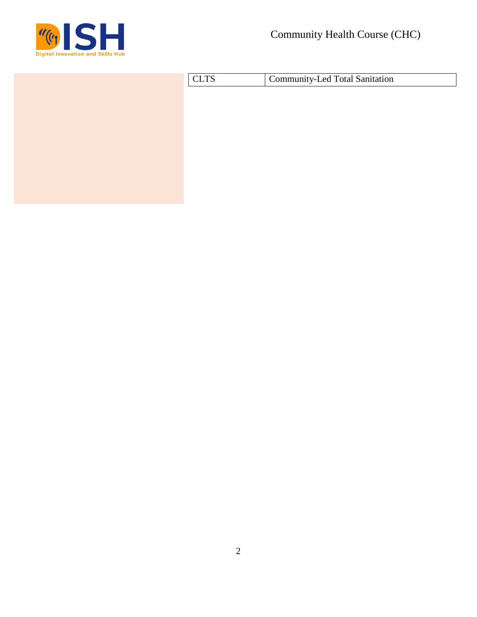

| <b>CLTS</b> | Community-Led Total Sanitation |  |  |
|-------------|--------------------------------|--|--|
|             |                                |  |  |
|             |                                |  |  |
|             |                                |  |  |
|             |                                |  |  |
|             |                                |  |  |
|             |                                |  |  |
|             |                                |  |  |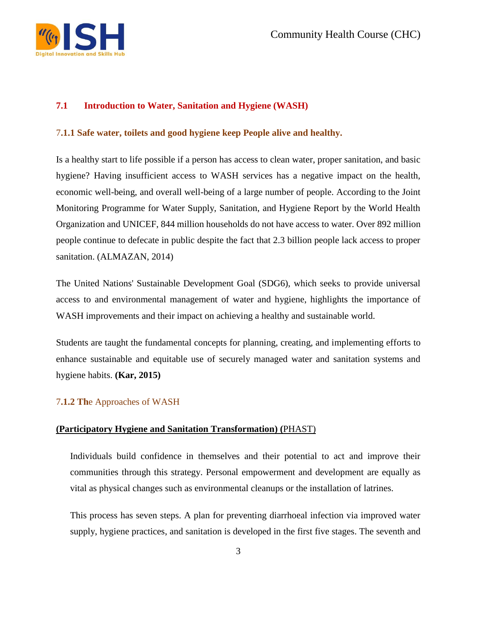

# **7.1 Introduction to Water, Sanitation and Hygiene (WASH)**

#### 7**.1.1 Safe water, toilets and good hygiene keep People alive and healthy.**

Is a healthy start to life possible if a person has access to clean water, proper sanitation, and basic hygiene? Having insufficient access to WASH services has a negative impact on the health, economic well-being, and overall well-being of a large number of people. According to the Joint Monitoring Programme for Water Supply, Sanitation, and Hygiene Report by the World Health Organization and UNICEF, 844 million households do not have access to water. Over 892 million people continue to defecate in public despite the fact that 2.3 billion people lack access to proper sanitation. (ALMAZAN, 2014)

The United Nations' Sustainable Development Goal (SDG6), which seeks to provide universal access to and environmental management of water and hygiene, highlights the importance of WASH improvements and their impact on achieving a healthy and sustainable world.

Students are taught the fundamental concepts for planning, creating, and implementing efforts to enhance sustainable and equitable use of securely managed water and sanitation systems and hygiene habits. **(Kar, 2015)**

# 7**.1.2 Th**e Approaches of WASH

#### **[\(Participatory Hygiene and Sanitation Transformation\)](https://sswm.info/content/participatory-hygiene-and-sanitation-transformation) (**PHAST)

Individuals build confidence in themselves and their potential to act and improve their communities through this strategy. Personal empowerment and development are equally as vital as physical changes such as environmental cleanups or the installation of latrines.

This process has seven steps. A plan for preventing diarrhoeal infection via improved water supply, hygiene practices, and sanitation is developed in the first five stages. The seventh and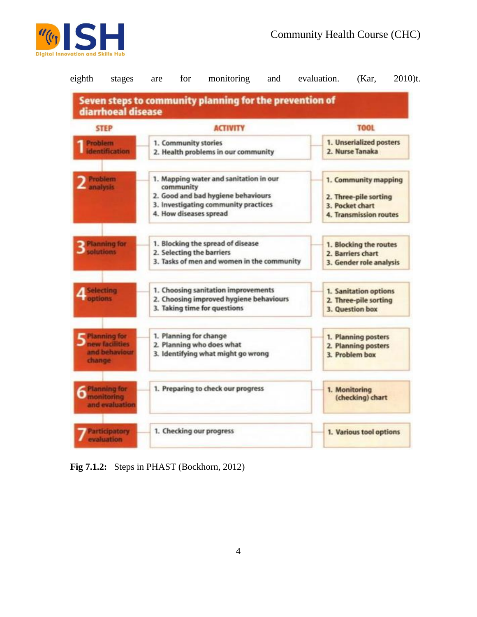



**Fig 7.1.2:** Steps in PHAST (Bockhorn, 2012)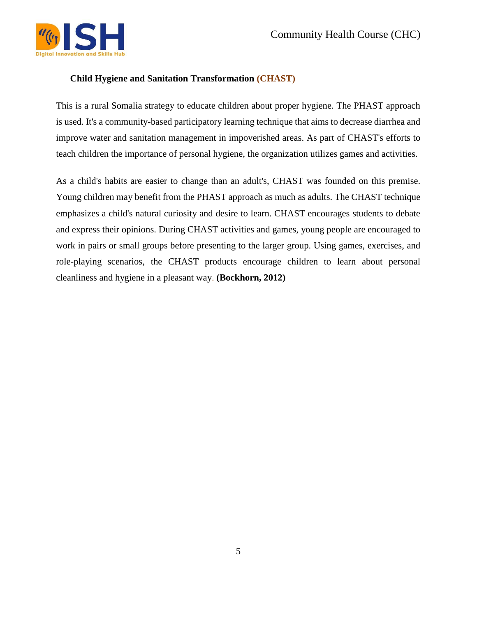

#### **Child Hygiene and Sanitation Transformation (CHAST)**

This is a rural Somalia strategy to educate children about proper hygiene. The PHAST approach is used. It's a community-based participatory learning technique that aims to decrease diarrhea and improve water and sanitation management in impoverished areas. As part of CHAST's efforts to teach children the importance of personal hygiene, the organization utilizes games and activities.

As a child's habits are easier to change than an adult's, CHAST was founded on this premise. Young children may benefit from the PHAST approach as much as adults. The CHAST technique emphasizes a child's natural curiosity and desire to learn. CHAST encourages students to debate and express their opinions. During CHAST activities and games, young people are encouraged to work in pairs or small groups before presenting to the larger group. Using games, exercises, and role-playing scenarios, the CHAST products encourage children to learn about personal cleanliness and hygiene in a pleasant way. **(Bockhorn, 2012)**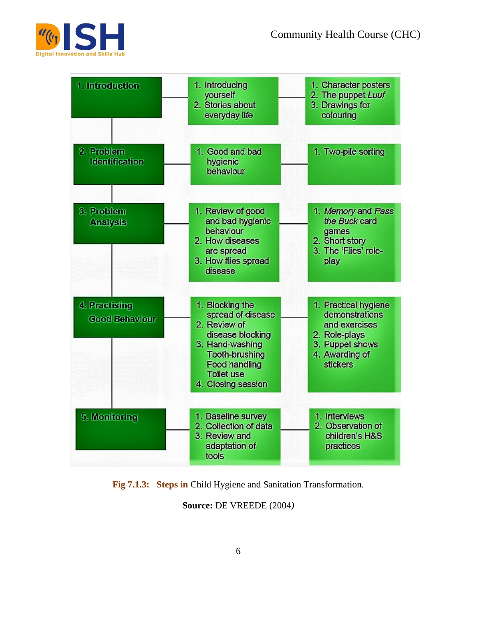

| 1. Introduction                        | 1. Introducing<br>yourself<br>2. Stories about<br>everyday life                                                                                                           | 1. Character posters<br>2. The puppet Luuf<br>3. Drawings for<br>colouring                                                |
|----------------------------------------|---------------------------------------------------------------------------------------------------------------------------------------------------------------------------|---------------------------------------------------------------------------------------------------------------------------|
| 2. Problem<br><b>Identification</b>    | 1. Good and bad<br>hygienic<br>behaviour                                                                                                                                  | 1. Two-pile sorting                                                                                                       |
| 3. Problem<br><b>Analysis</b>          | 1. Review of good<br>and bad hygienic<br>behaviour<br>2. How diseases<br>are spread<br>3. How flies spread<br>disease                                                     | 1. Memory and Pass<br>the Buck card<br>games<br>2. Short story<br>3. The 'Flies' role-<br>play                            |
| 4. Praetising<br><b>Good Behaviour</b> | 1. Blocking the<br>spread of disease<br>2. Review of<br>disease blocking<br>3. Hand-washing<br>Tooth-brushing<br>Food handling<br><b>Toilet use</b><br>4. Closing session | 1. Practical hygiene<br>demonstrations<br>and exercises<br>2. Role-plays<br>3. Puppet shows<br>4. Awarding of<br>stickers |
| 5. Monitoring                          | 1. Baseline survey<br>2. Collection of data<br>3. Review and<br>adaptation of<br>tools                                                                                    | 1. Interviews<br>2. Observation of<br>children's H&S<br>practices                                                         |

**Fig 7.1.3: Steps in** Child Hygiene and Sanitation Transformation.

**Source:** DE VREEDE (2004*)*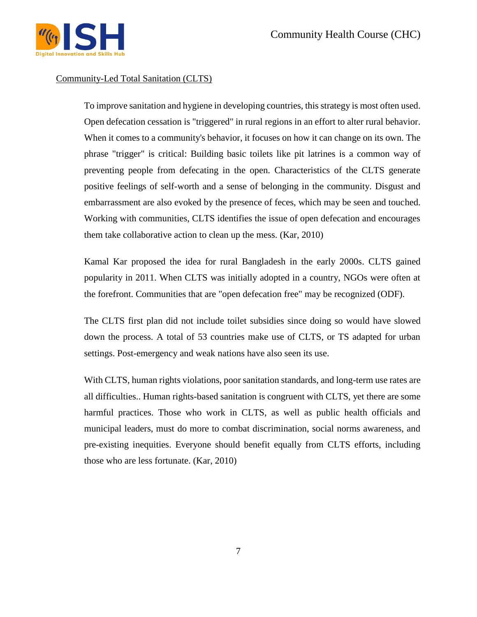

#### Community-Led Total Sanitation (CLTS)

To improve sanitation and hygiene in developing countries, this strategy is most often used. Open defecation cessation is "triggered" in rural regions in an effort to alter rural behavior. When it comes to a community's behavior, it focuses on how it can change on its own. The phrase "trigger" is critical: Building basic toilets like pit latrines is a common way of preventing people from defecating in the open. Characteristics of the CLTS generate positive feelings of self-worth and a sense of belonging in the community. Disgust and embarrassment are also evoked by the presence of feces, which may be seen and touched. Working with communities, CLTS identifies the issue of open defecation and encourages them take collaborative action to clean up the mess. (Kar, 2010)

Kamal Kar proposed the idea for rural Bangladesh in the early 2000s. CLTS gained popularity in 2011. When CLTS was initially adopted in a country, NGOs were often at the forefront. Communities that are "open defecation free" may be recognized (ODF).

The CLTS first plan did not include toilet subsidies since doing so would have slowed down the process. A total of 53 countries make use of CLTS, or TS adapted for urban settings. Post-emergency and weak nations have also seen its use.

With CLTS, human rights violations, poor sanitation standards, and long-term use rates are all difficulties.. Human rights-based sanitation is congruent with CLTS, yet there are some harmful practices. Those who work in CLTS, as well as public health officials and municipal leaders, must do more to combat discrimination, social norms awareness, and pre-existing inequities. Everyone should benefit equally from CLTS efforts, including those who are less fortunate. (Kar, 2010)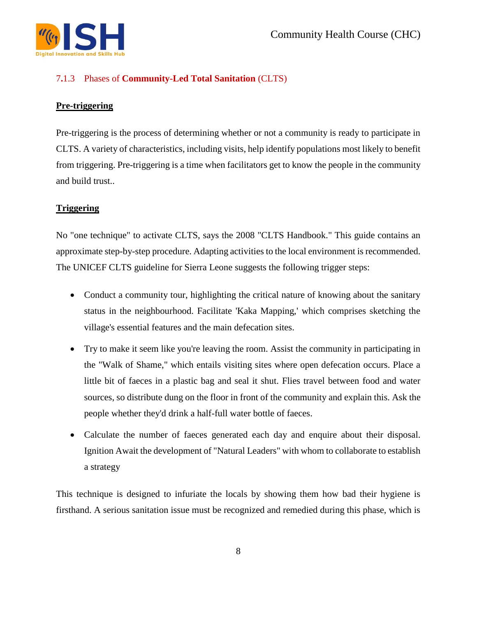

# 7**.**1.3 Phases of **Community-Led Total Sanitation** (CLTS)

# **Pre-triggering**

Pre-triggering is the process of determining whether or not a community is ready to participate in CLTS. A variety of characteristics, including visits, help identify populations most likely to benefit from triggering. Pre-triggering is a time when facilitators get to know the people in the community and build trust..

# **Triggering**

No "one technique" to activate CLTS, says the 2008 "CLTS Handbook." This guide contains an approximate step-by-step procedure. Adapting activities to the local environment is recommended. The UNICEF CLTS guideline for Sierra Leone suggests the following trigger steps:

- Conduct a community tour, highlighting the critical nature of knowing about the sanitary status in the neighbourhood. Facilitate 'Kaka Mapping,' which comprises sketching the village's essential features and the main defecation sites.
- Try to make it seem like you're leaving the room. Assist the community in participating in the "Walk of Shame," which entails visiting sites where open defecation occurs. Place a little bit of faeces in a plastic bag and seal it shut. Flies travel between food and water sources, so distribute dung on the floor in front of the community and explain this. Ask the people whether they'd drink a half-full water bottle of faeces.
- Calculate the number of faeces generated each day and enquire about their disposal. Ignition Await the development of "Natural Leaders" with whom to collaborate to establish a strategy

This technique is designed to infuriate the locals by showing them how bad their hygiene is firsthand. A serious sanitation issue must be recognized and remedied during this phase, which is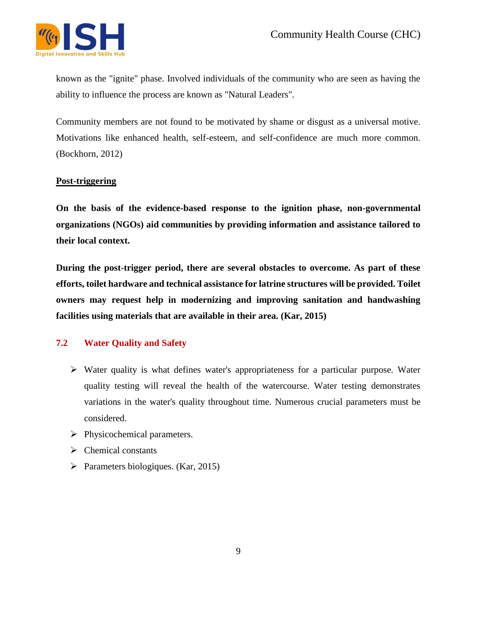

known as the "ignite" phase. Involved individuals of the community who are seen as having the ability to influence the process are known as "Natural Leaders".

Community members are not found to be motivated by shame or disgust as a universal motive. Motivations like enhanced health, self-esteem, and self-confidence are much more common. (Bockhorn, 2012)

#### **Post-triggering**

**On the basis of the evidence-based response to the ignition phase, non-governmental organizations (NGOs) aid communities by providing information and assistance tailored to their local context.**

**During the post-trigger period, there are several obstacles to overcome. As part of these efforts, toilet hardware and technical assistance for latrine structures will be provided. Toilet owners may request help in modernizing and improving sanitation and handwashing facilities using materials that are available in their area. (Kar, 2015)**

# **7.2 Water Quality and Safety**

- $\triangleright$  Water quality is what defines water's appropriateness for a particular purpose. Water quality testing will reveal the health of the watercourse. Water testing demonstrates variations in the water's quality throughout time. Numerous crucial parameters must be considered.
- $\triangleright$  Physicochemical parameters.
- $\triangleright$  Chemical constants
- $\triangleright$  Parameters biologiques. (Kar, 2015)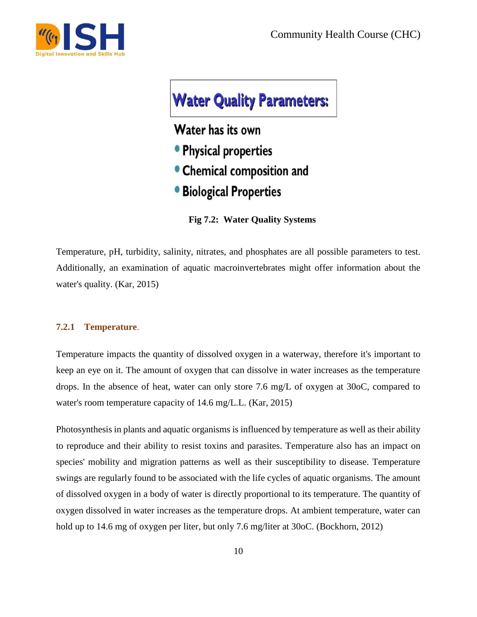



Water has its own

- **Physical properties**
- Chemical composition and
- **Biological Properties**

**Fig 7.2: Water Quality Systems**

Temperature, pH, turbidity, salinity, nitrates, and phosphates are all possible parameters to test. Additionally, an examination of aquatic macroinvertebrates might offer information about the water's quality. (Kar, 2015)

#### **7.2.1 Temperature**.

Temperature impacts the quantity of dissolved oxygen in a waterway, therefore it's important to keep an eye on it. The amount of oxygen that can dissolve in water increases as the temperature drops. In the absence of heat, water can only store 7.6 mg/L of oxygen at 30oC, compared to water's room temperature capacity of 14.6 mg/L.L. (Kar, 2015)

Photosynthesis in plants and aquatic organisms is influenced by temperature as well as their ability to reproduce and their ability to resist toxins and parasites. Temperature also has an impact on species' mobility and migration patterns as well as their susceptibility to disease. Temperature swings are regularly found to be associated with the life cycles of aquatic organisms. The amount of dissolved oxygen in a body of water is directly proportional to its temperature. The quantity of oxygen dissolved in water increases as the temperature drops. At ambient temperature, water can hold up to 14.6 mg of oxygen per liter, but only 7.6 mg/liter at 30oC. (Bockhorn, 2012)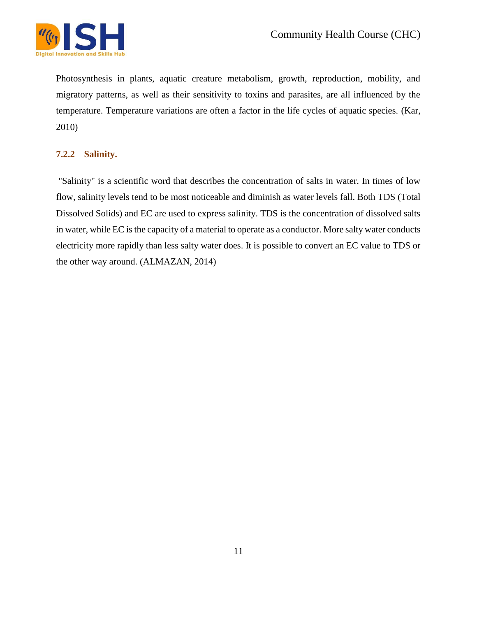

Photosynthesis in plants, aquatic creature metabolism, growth, reproduction, mobility, and migratory patterns, as well as their sensitivity to toxins and parasites, are all influenced by the temperature. Temperature variations are often a factor in the life cycles of aquatic species. (Kar, 2010)

# **7.2.2 Salinity.**

"Salinity" is a scientific word that describes the concentration of salts in water. In times of low flow, salinity levels tend to be most noticeable and diminish as water levels fall. Both TDS (Total Dissolved Solids) and EC are used to express salinity. TDS is the concentration of dissolved salts in water, while EC is the capacity of a material to operate as a conductor. More salty water conducts electricity more rapidly than less salty water does. It is possible to convert an EC value to TDS or the other way around. (ALMAZAN, 2014)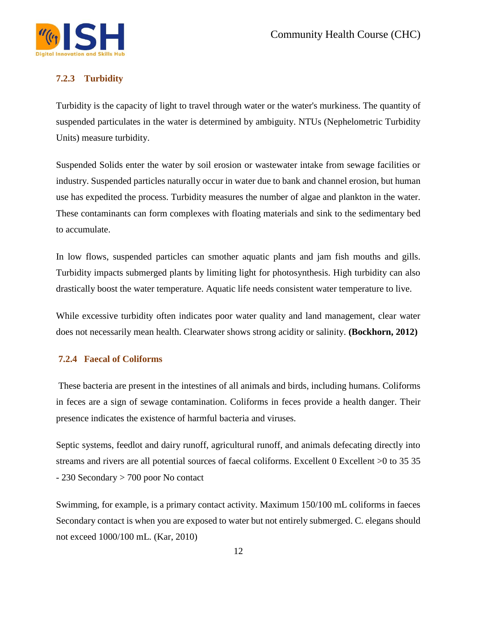

# **7.2.3 Turbidity**

Turbidity is the capacity of light to travel through water or the water's murkiness. The quantity of suspended particulates in the water is determined by ambiguity. NTUs (Nephelometric Turbidity Units) measure turbidity.

Suspended Solids enter the water by soil erosion or wastewater intake from sewage facilities or industry. Suspended particles naturally occur in water due to bank and channel erosion, but human use has expedited the process. Turbidity measures the number of algae and plankton in the water. These contaminants can form complexes with floating materials and sink to the sedimentary bed to accumulate.

In low flows, suspended particles can smother aquatic plants and jam fish mouths and gills. Turbidity impacts submerged plants by limiting light for photosynthesis. High turbidity can also drastically boost the water temperature. Aquatic life needs consistent water temperature to live.

While excessive turbidity often indicates poor water quality and land management, clear water does not necessarily mean health. Clearwater shows strong acidity or salinity. **(Bockhorn, 2012)**

#### **7.2.4 Faecal of Coliforms**

These bacteria are present in the intestines of all animals and birds, including humans. Coliforms in feces are a sign of sewage contamination. Coliforms in feces provide a health danger. Their presence indicates the existence of harmful bacteria and viruses.

Septic systems, feedlot and dairy runoff, agricultural runoff, and animals defecating directly into streams and rivers are all potential sources of faecal coliforms. Excellent 0 Excellent  $>0$  to 35 35 - 230 Secondary > 700 poor No contact

Swimming, for example, is a primary contact activity. Maximum 150/100 mL coliforms in faeces Secondary contact is when you are exposed to water but not entirely submerged. C. elegans should not exceed 1000/100 mL. (Kar, 2010)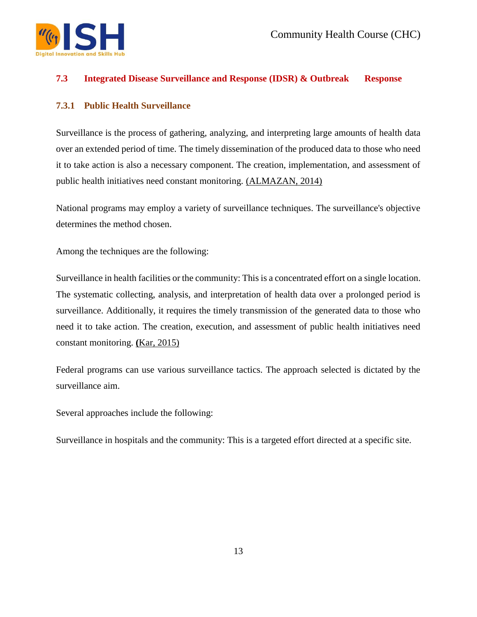

#### **7.3 Integrated Disease Surveillance and Response (IDSR) & Outbreak Response**

#### **7.3.1 Public Health Surveillance**

Surveillance is the process of gathering, analyzing, and interpreting large amounts of health data over an extended period of time. The timely dissemination of the produced data to those who need it to take action is also a necessary component. The creation, implementation, and assessment of public health initiatives need constant monitoring. (ALMAZAN, 2014)

National programs may employ a variety of surveillance techniques. The surveillance's objective determines the method chosen.

Among the techniques are the following:

Surveillance in health facilities or the community: This is a concentrated effort on a single location. The systematic collecting, analysis, and interpretation of health data over a prolonged period is surveillance. Additionally, it requires the timely transmission of the generated data to those who need it to take action. The creation, execution, and assessment of public health initiatives need constant monitoring. **(**Kar, 2015)

Federal programs can use various surveillance tactics. The approach selected is dictated by the surveillance aim.

Several approaches include the following:

Surveillance in hospitals and the community: This is a targeted effort directed at a specific site.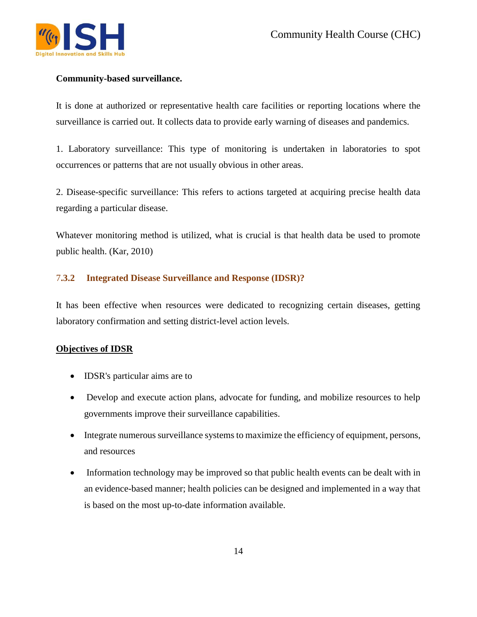

#### **Community-based surveillance.**

It is done at authorized or representative health care facilities or reporting locations where the surveillance is carried out. It collects data to provide early warning of diseases and pandemics.

1. Laboratory surveillance: This type of monitoring is undertaken in laboratories to spot occurrences or patterns that are not usually obvious in other areas.

2. Disease-specific surveillance: This refers to actions targeted at acquiring precise health data regarding a particular disease.

Whatever monitoring method is utilized, what is crucial is that health data be used to promote public health. (Kar, 2010)

# 7**.3.2 Integrated Disease Surveillance and Response (IDSR)?**

It has been effective when resources were dedicated to recognizing certain diseases, getting laboratory confirmation and setting district-level action levels.

# **Objectives of IDSR**

- **IDSR's particular aims are to**
- Develop and execute action plans, advocate for funding, and mobilize resources to help governments improve their surveillance capabilities.
- Integrate numerous surveillance systems to maximize the efficiency of equipment, persons, and resources
- Information technology may be improved so that public health events can be dealt with in an evidence-based manner; health policies can be designed and implemented in a way that is based on the most up-to-date information available.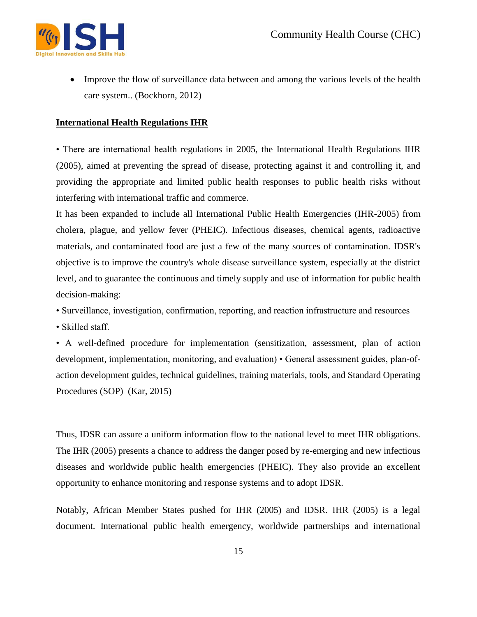

• Improve the flow of surveillance data between and among the various levels of the health care system.. (Bockhorn, 2012)

#### **International Health Regulations IHR**

• There are international health regulations in 2005, the International Health Regulations IHR (2005), aimed at preventing the spread of disease, protecting against it and controlling it, and providing the appropriate and limited public health responses to public health risks without interfering with international traffic and commerce.

It has been expanded to include all International Public Health Emergencies (IHR-2005) from cholera, plague, and yellow fever (PHEIC). Infectious diseases, chemical agents, radioactive materials, and contaminated food are just a few of the many sources of contamination. IDSR's objective is to improve the country's whole disease surveillance system, especially at the district level, and to guarantee the continuous and timely supply and use of information for public health decision-making:

• Surveillance, investigation, confirmation, reporting, and reaction infrastructure and resources

• Skilled staff.

• A well-defined procedure for implementation (sensitization, assessment, plan of action development, implementation, monitoring, and evaluation) • General assessment guides, plan-ofaction development guides, technical guidelines, training materials, tools, and Standard Operating Procedures (SOP) (Kar, 2015)

Thus, IDSR can assure a uniform information flow to the national level to meet IHR obligations. The IHR (2005) presents a chance to address the danger posed by re-emerging and new infectious diseases and worldwide public health emergencies (PHEIC). They also provide an excellent opportunity to enhance monitoring and response systems and to adopt IDSR.

Notably, African Member States pushed for IHR (2005) and IDSR. IHR (2005) is a legal document. International public health emergency, worldwide partnerships and international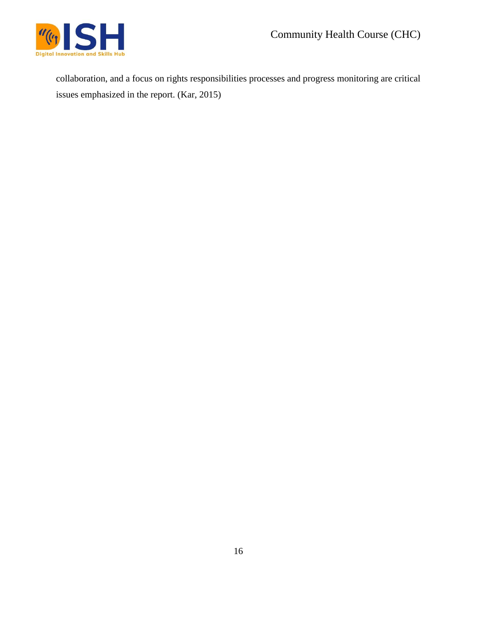

collaboration, and a focus on rights responsibilities processes and progress monitoring are critical issues emphasized in the report. (Kar, 2015)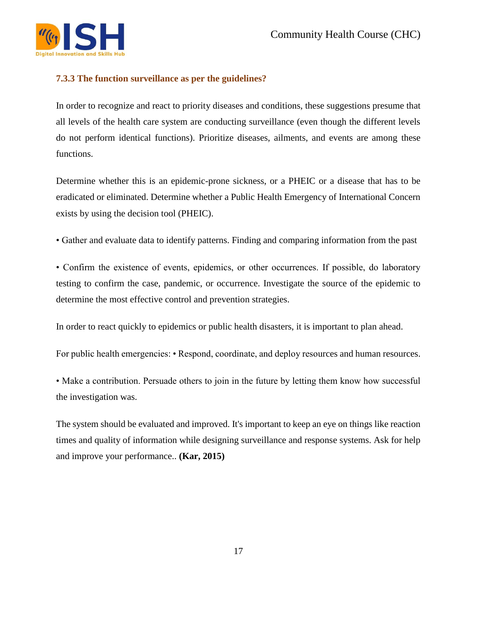

# **7.3.3 The function surveillance as per the guidelines?**

In order to recognize and react to priority diseases and conditions, these suggestions presume that all levels of the health care system are conducting surveillance (even though the different levels do not perform identical functions). Prioritize diseases, ailments, and events are among these functions.

Determine whether this is an epidemic-prone sickness, or a PHEIC or a disease that has to be eradicated or eliminated. Determine whether a Public Health Emergency of International Concern exists by using the decision tool (PHEIC).

• Gather and evaluate data to identify patterns. Finding and comparing information from the past

• Confirm the existence of events, epidemics, or other occurrences. If possible, do laboratory testing to confirm the case, pandemic, or occurrence. Investigate the source of the epidemic to determine the most effective control and prevention strategies.

In order to react quickly to epidemics or public health disasters, it is important to plan ahead.

For public health emergencies: • Respond, coordinate, and deploy resources and human resources.

• Make a contribution. Persuade others to join in the future by letting them know how successful the investigation was.

The system should be evaluated and improved. It's important to keep an eye on things like reaction times and quality of information while designing surveillance and response systems. Ask for help and improve your performance.. **(Kar, 2015)**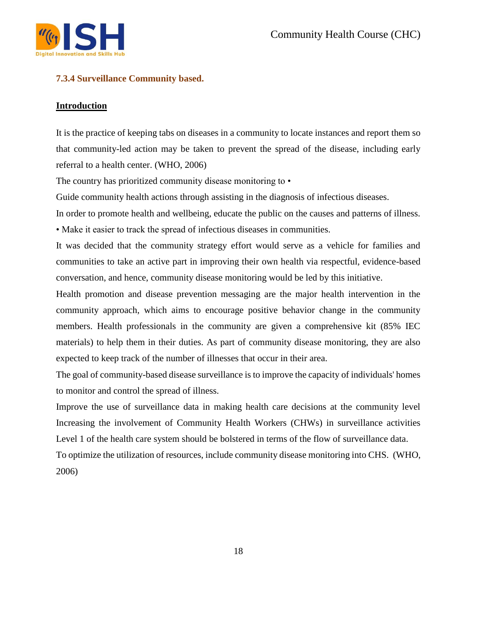

# **7.3.4 Surveillance Community based.**

# **Introduction**

It is the practice of keeping tabs on diseases in a community to locate instances and report them so that community-led action may be taken to prevent the spread of the disease, including early referral to a health center. (WHO, 2006)

The country has prioritized community disease monitoring to  $\cdot$ 

Guide community health actions through assisting in the diagnosis of infectious diseases.

In order to promote health and wellbeing, educate the public on the causes and patterns of illness.

• Make it easier to track the spread of infectious diseases in communities.

It was decided that the community strategy effort would serve as a vehicle for families and communities to take an active part in improving their own health via respectful, evidence-based conversation, and hence, community disease monitoring would be led by this initiative.

Health promotion and disease prevention messaging are the major health intervention in the community approach, which aims to encourage positive behavior change in the community members. Health professionals in the community are given a comprehensive kit (85% IEC materials) to help them in their duties. As part of community disease monitoring, they are also expected to keep track of the number of illnesses that occur in their area.

The goal of community-based disease surveillance is to improve the capacity of individuals' homes to monitor and control the spread of illness.

Improve the use of surveillance data in making health care decisions at the community level Increasing the involvement of Community Health Workers (CHWs) in surveillance activities Level 1 of the health care system should be bolstered in terms of the flow of surveillance data.

To optimize the utilization of resources, include community disease monitoring into CHS. (WHO, 2006)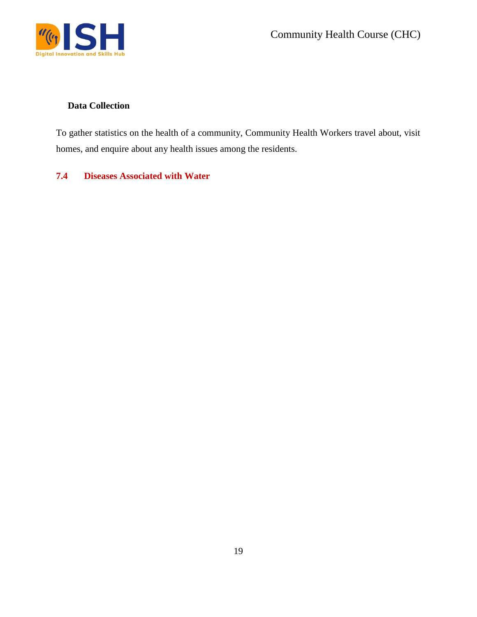

# **Data Collection**

To gather statistics on the health of a community, Community Health Workers travel about, visit homes, and enquire about any health issues among the residents.

# **7.4 Diseases Associated with Water**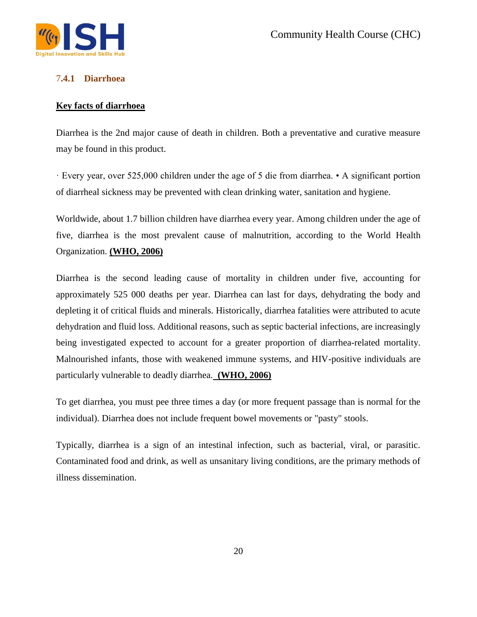

# 7**.4.1 Diarrhoea**

#### **Key facts of diarrhoea**

Diarrhea is the 2nd major cause of death in children. Both a preventative and curative measure may be found in this product.

· Every year, over 525,000 children under the age of 5 die from diarrhea. • A significant portion of diarrheal sickness may be prevented with clean drinking water, sanitation and hygiene.

Worldwide, about 1.7 billion children have diarrhea every year. Among children under the age of five, diarrhea is the most prevalent cause of malnutrition, according to the World Health Organization. **(WHO, 2006)**

Diarrhea is the second leading cause of mortality in children under five, accounting for approximately 525 000 deaths per year. Diarrhea can last for days, dehydrating the body and depleting it of critical fluids and minerals. Historically, diarrhea fatalities were attributed to acute dehydration and fluid loss. Additional reasons, such as septic bacterial infections, are increasingly being investigated expected to account for a greater proportion of diarrhea-related mortality. Malnourished infants, those with weakened immune systems, and HIV-positive individuals are particularly vulnerable to deadly diarrhea. **(WHO, 2006)**

To get diarrhea, you must pee three times a day (or more frequent passage than is normal for the individual). Diarrhea does not include frequent bowel movements or "pasty" stools.

Typically, diarrhea is a sign of an intestinal infection, such as bacterial, viral, or parasitic. Contaminated food and drink, as well as unsanitary living conditions, are the primary methods of illness dissemination.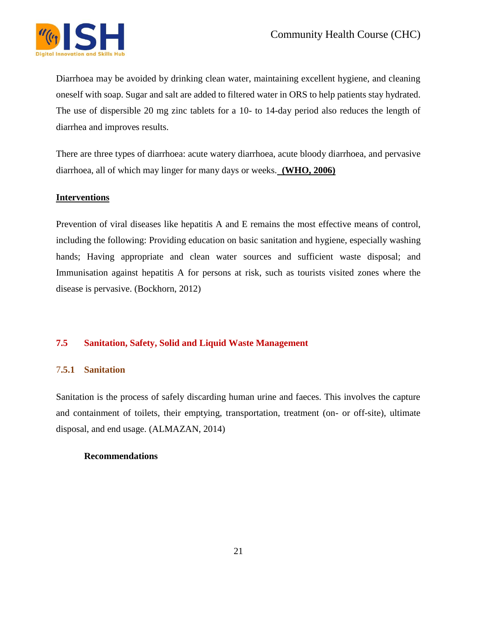

Diarrhoea may be avoided by drinking clean water, maintaining excellent hygiene, and cleaning oneself with soap. Sugar and salt are added to filtered water in ORS to help patients stay hydrated. The use of dispersible 20 mg zinc tablets for a 10- to 14-day period also reduces the length of diarrhea and improves results.

There are three types of diarrhoea: acute watery diarrhoea, acute bloody diarrhoea, and pervasive diarrhoea, all of which may linger for many days or weeks. **(WHO, 2006)**

#### **Interventions**

Prevention of viral diseases like hepatitis A and E remains the most effective means of control, including the following: Providing education on basic sanitation and hygiene, especially washing hands; Having appropriate and clean water sources and sufficient waste disposal; and Immunisation against hepatitis A for persons at risk, such as tourists visited zones where the disease is pervasive. (Bockhorn, 2012)

# **7.5 Sanitation, Safety, Solid and Liquid Waste Management**

#### 7**.5.1 Sanitation**

Sanitation is the process of safely discarding human urine and faeces. This involves the capture and containment of toilets, their emptying, transportation, treatment (on- or off-site), ultimate disposal, and end usage. (ALMAZAN, 2014)

#### **Recommendations**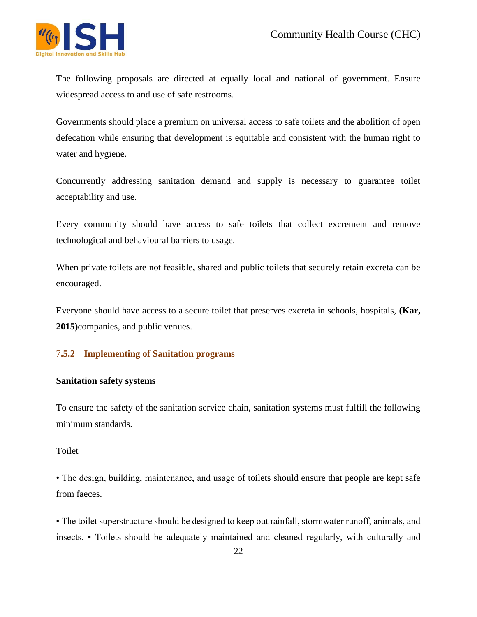

The following proposals are directed at equally local and national of government. Ensure widespread access to and use of safe restrooms.

Governments should place a premium on universal access to safe toilets and the abolition of open defecation while ensuring that development is equitable and consistent with the human right to water and hygiene.

Concurrently addressing sanitation demand and supply is necessary to guarantee toilet acceptability and use.

Every community should have access to safe toilets that collect excrement and remove technological and behavioural barriers to usage.

When private toilets are not feasible, shared and public toilets that securely retain excreta can be encouraged.

Everyone should have access to a secure toilet that preserves excreta in schools, hospitals, **(Kar, 2015)**companies, and public venues.

# 7**.5.2 Implementing of Sanitation programs**

#### **Sanitation safety systems**

To ensure the safety of the sanitation service chain, sanitation systems must fulfill the following minimum standards.

#### Toilet

• The design, building, maintenance, and usage of toilets should ensure that people are kept safe from faeces.

• The toilet superstructure should be designed to keep out rainfall, stormwater runoff, animals, and insects. • Toilets should be adequately maintained and cleaned regularly, with culturally and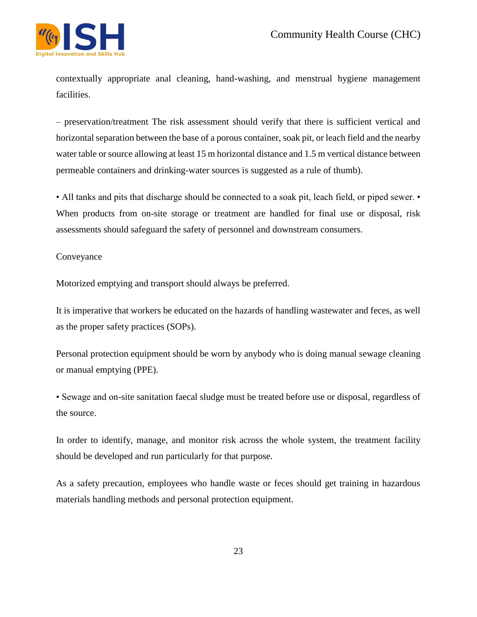

contextually appropriate anal cleaning, hand-washing, and menstrual hygiene management facilities.

– preservation/treatment The risk assessment should verify that there is sufficient vertical and horizontal separation between the base of a porous container, soak pit, or leach field and the nearby water table or source allowing at least 15 m horizontal distance and 1.5 m vertical distance between permeable containers and drinking-water sources is suggested as a rule of thumb).

• All tanks and pits that discharge should be connected to a soak pit, leach field, or piped sewer. • When products from on-site storage or treatment are handled for final use or disposal, risk assessments should safeguard the safety of personnel and downstream consumers.

#### Conveyance

Motorized emptying and transport should always be preferred.

It is imperative that workers be educated on the hazards of handling wastewater and feces, as well as the proper safety practices (SOPs).

Personal protection equipment should be worn by anybody who is doing manual sewage cleaning or manual emptying (PPE).

• Sewage and on-site sanitation faecal sludge must be treated before use or disposal, regardless of the source.

In order to identify, manage, and monitor risk across the whole system, the treatment facility should be developed and run particularly for that purpose.

As a safety precaution, employees who handle waste or feces should get training in hazardous materials handling methods and personal protection equipment.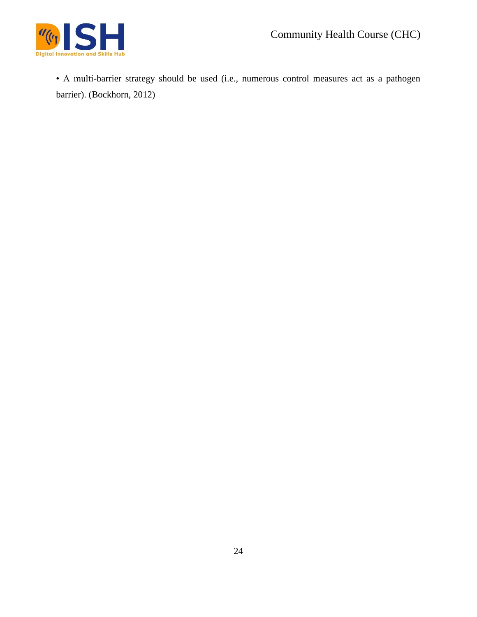

• A multi-barrier strategy should be used (i.e., numerous control measures act as a pathogen barrier). (Bockhorn, 2012)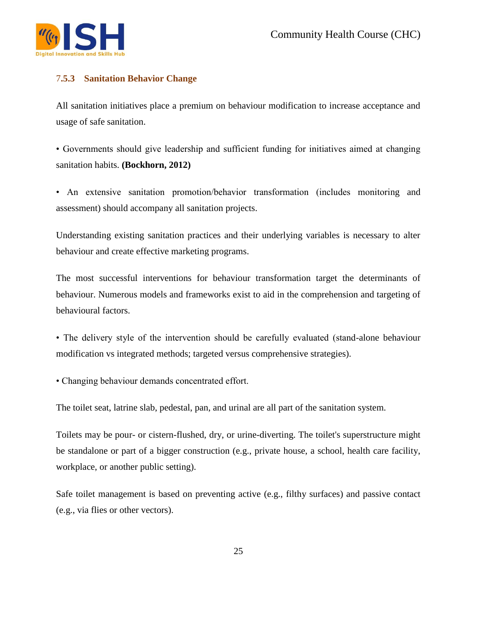

# 7**.5.3 Sanitation Behavior Change**

All sanitation initiatives place a premium on behaviour modification to increase acceptance and usage of safe sanitation.

• Governments should give leadership and sufficient funding for initiatives aimed at changing sanitation habits. **(Bockhorn, 2012)**

• An extensive sanitation promotion/behavior transformation (includes monitoring and assessment) should accompany all sanitation projects.

Understanding existing sanitation practices and their underlying variables is necessary to alter behaviour and create effective marketing programs.

The most successful interventions for behaviour transformation target the determinants of behaviour. Numerous models and frameworks exist to aid in the comprehension and targeting of behavioural factors.

• The delivery style of the intervention should be carefully evaluated (stand-alone behaviour modification vs integrated methods; targeted versus comprehensive strategies).

• Changing behaviour demands concentrated effort.

The toilet seat, latrine slab, pedestal, pan, and urinal are all part of the sanitation system.

Toilets may be pour- or cistern-flushed, dry, or urine-diverting. The toilet's superstructure might be standalone or part of a bigger construction (e.g., private house, a school, health care facility, workplace, or another public setting).

Safe toilet management is based on preventing active (e.g., filthy surfaces) and passive contact (e.g., via flies or other vectors).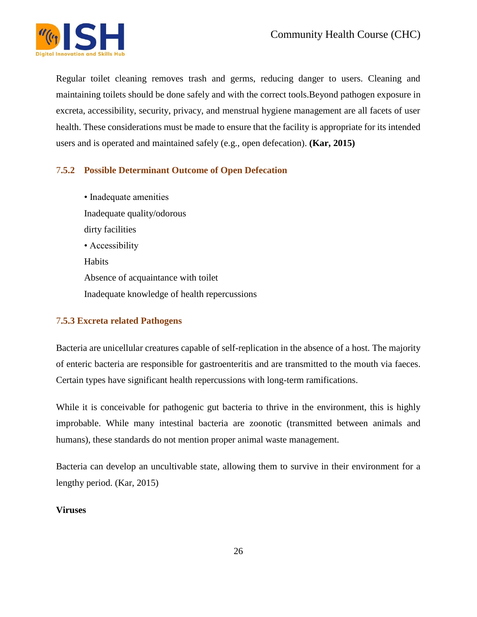

Regular toilet cleaning removes trash and germs, reducing danger to users. Cleaning and maintaining toilets should be done safely and with the correct tools.Beyond pathogen exposure in excreta, accessibility, security, privacy, and menstrual hygiene management are all facets of user health. These considerations must be made to ensure that the facility is appropriate for its intended users and is operated and maintained safely (e.g., open defecation). **(Kar, 2015)**

# 7**.5.2 Possible Determinant Outcome of Open Defecation**

• Inadequate amenities Inadequate quality/odorous dirty facilities • Accessibility Habits Absence of acquaintance with toilet Inadequate knowledge of health repercussions

# 7**.5.3 Excreta related Pathogens**

Bacteria are unicellular creatures capable of self-replication in the absence of a host. The majority of enteric bacteria are responsible for gastroenteritis and are transmitted to the mouth via faeces. Certain types have significant health repercussions with long-term ramifications.

While it is conceivable for pathogenic gut bacteria to thrive in the environment, this is highly improbable. While many intestinal bacteria are zoonotic (transmitted between animals and humans), these standards do not mention proper animal waste management.

Bacteria can develop an uncultivable state, allowing them to survive in their environment for a lengthy period. (Kar, 2015)

#### **Viruses**